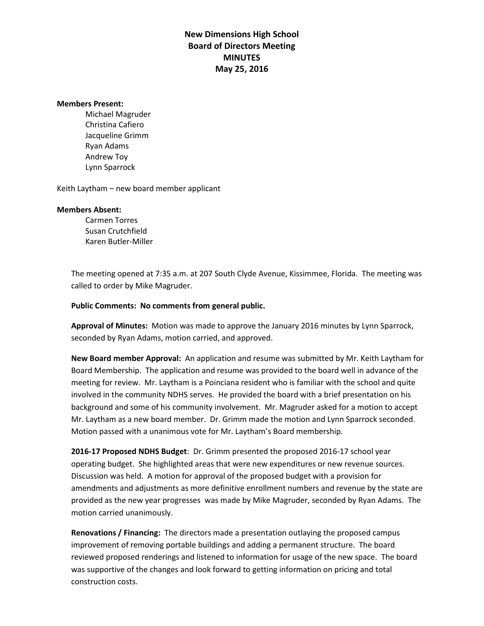## **New Dimensions High School Board of Directors Meeting MINUTES May 25, 2016**

## **Members Present:**

Michael Magruder Christina Cafiero Jacqueline Grimm Ryan Adams Andrew Toy Lynn Sparrock

Keith Laytham – new board member applicant

## **Members Absent:**

Carmen Torres Susan Crutchfield Karen Butler-Miller

The meeting opened at 7:35 a.m. at 207 South Clyde Avenue, Kissimmee, Florida. The meeting was called to order by Mike Magruder.

## **Public Comments: No comments from general public.**

**Approval of Minutes:** Motion was made to approve the January 2016 minutes by Lynn Sparrock, seconded by Ryan Adams, motion carried, and approved.

**New Board member Approval:** An application and resume was submitted by Mr. Keith Laytham for Board Membership. The application and resume was provided to the board well in advance of the meeting for review. Mr. Laytham is a Poinciana resident who is familiar with the school and quite involved in the community NDHS serves. He provided the board with a brief presentation on his background and some of his community involvement. Mr. Magruder asked for a motion to accept Mr. Laytham as a new board member. Dr. Grimm made the motion and Lynn Sparrock seconded. Motion passed with a unanimous vote for Mr. Laytham's Board membership.

**2016-17 Proposed NDHS Budget**: Dr. Grimm presented the proposed 2016-17 school year operating budget. She highlighted areas that were new expenditures or new revenue sources. Discussion was held. A motion for approval of the proposed budget with a provision for amendments and adjustments as more definitive enrollment numbers and revenue by the state are provided as the new year progresses was made by Mike Magruder, seconded by Ryan Adams. The motion carried unanimously.

**Renovations / Financing:** The directors made a presentation outlaying the proposed campus improvement of removing portable buildings and adding a permanent structure. The board reviewed proposed renderings and listened to information for usage of the new space. The board was supportive of the changes and look forward to getting information on pricing and total construction costs.